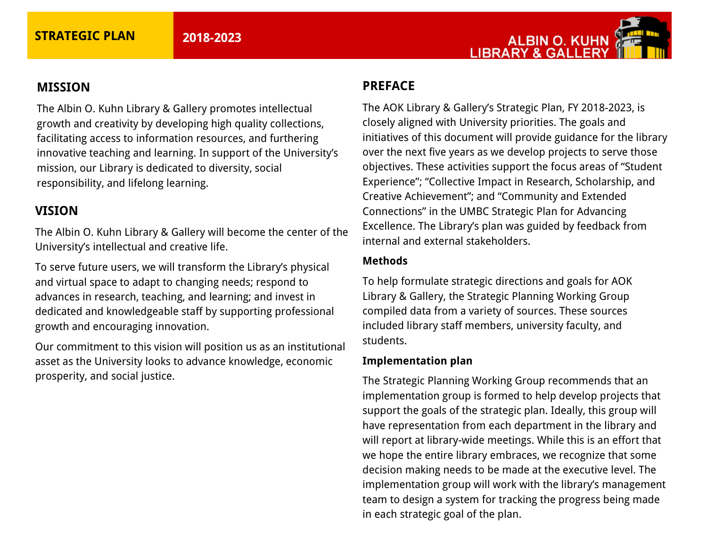

#### **The PREFACE Of the PREFACE MISSION**

The Albin O. Kuhn Library & Gallery promotes intellectual growth and creativity by developing high quality collections, facilitating access to information resources, and furthering innovative teaching and learning. In support of the University's mission, our Library is dedicated to diversity, social responsibility, and lifelong learning.

## **VISION**

The Albin O. Kuhn Library & Gallery will become the center of the University's intellectual and creative life.

To serve future users, we will transform the Library's physical and virtual space to adapt to changing needs; respond to advances in research, teaching, and learning; and invest in dedicated and knowledgeable staff by supporting professional growth and encouraging innovation.

Our commitment to this vision will position us as an institutional asset as the University looks to advance knowledge, economic prosperity, and social justice.

The AOK Library & Gallery's Strategic Plan, FY 2018-2023, is closely aligned with University priorities. The goals and initiatives of this document will provide guidance for the library over the next five years as we develop projects to serve those objectives. These activities support the focus areas of "Student Experience"; "Collective Impact in Research, Scholarship, and Creative Achievement"; and "Community and Extended Connections" in the UMBC Strategic Plan for Advancing Excellence. The Library's plan was guided by feedback from internal and external stakeholders.

#### **Methods**

To help formulate strategic directions and goals for AOK Library & Gallery, the Strategic Planning Working Group compiled data from a variety of sources. These sources included library staff members, university faculty, and students.

### **Implementation plan**

The Strategic Planning Working Group recommends that an implementation group is formed to help develop projects that support the goals of the strategic plan. Ideally, this group will have representation from each department in the library and will report at library-wide meetings. While this is an effort that we hope the entire library embraces, we recognize that some decision making needs to be made at the executive level. The implementation group will work with the library's management team to design a system for tracking the progress being made in each strategic goal of the plan.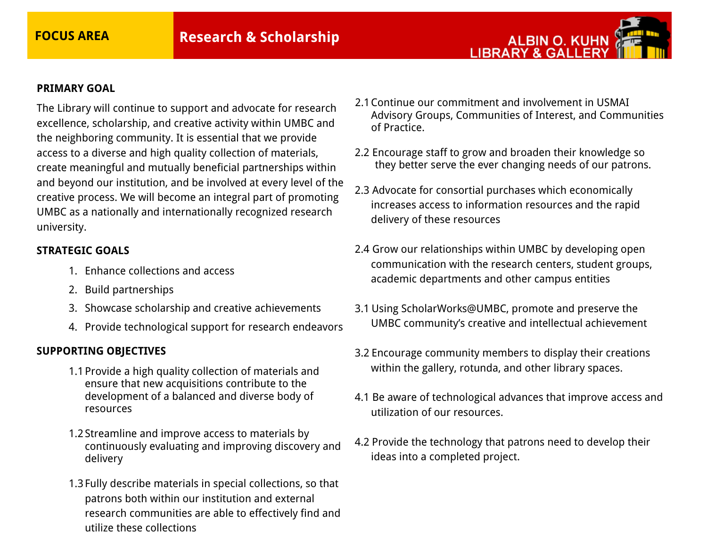

#### **PRIMARY GOAL**

The Library will continue to support and advocate for research excellence, scholarship, and creative activity within UMBC and the neighboring community. It is essential that we provide access to a diverse and high quality collection of materials, create meaningful and mutually beneficial partnerships within and beyond our institution, and be involved at every level of the creative process. We will become an integral part of promoting UMBC as a nationally and internationally recognized research university.

### **STRATEGIC GOALS**

- 1. Enhance collections and access
- 2. Build partnerships
- 3. Showcase scholarship and creative achievements
- 4. Provide technological support for research endeavors

- 1.1Provide a high quality collection of materials and ensure that new acquisitions contribute to the development of a balanced and diverse body of resources
- 1.2Streamline and improve access to materials by continuously evaluating and improving discovery and delivery
- 1.3Fully describe materials in special collections, so that patrons both within our institution and external research communities are able to effectively find and utilize these collections
- 2.1Continue our commitment and involvement in USMAI Advisory Groups, Communities of Interest, and Communities of Practice.
- 2.2 Encourage staff to grow and broaden their knowledge so they better serve the ever changing needs of our patrons.
- 2.3 Advocate for consortial purchases which economically increases access to information resources and the rapid delivery of these resources
- 2.4 Grow our relationships within UMBC by developing open communication with the research centers, student groups, academic departments and other campus entities
- 3.1 Using ScholarWorks@UMBC, promote and preserve the UMBC community's creative and intellectual achievement
- 3.2 Encourage community members to display their creations within the gallery, rotunda, and other library spaces.
- 4.1 Be aware of technological advances that improve access and utilization of our resources.
- 4.2 Provide the technology that patrons need to develop their ideas into a completed project.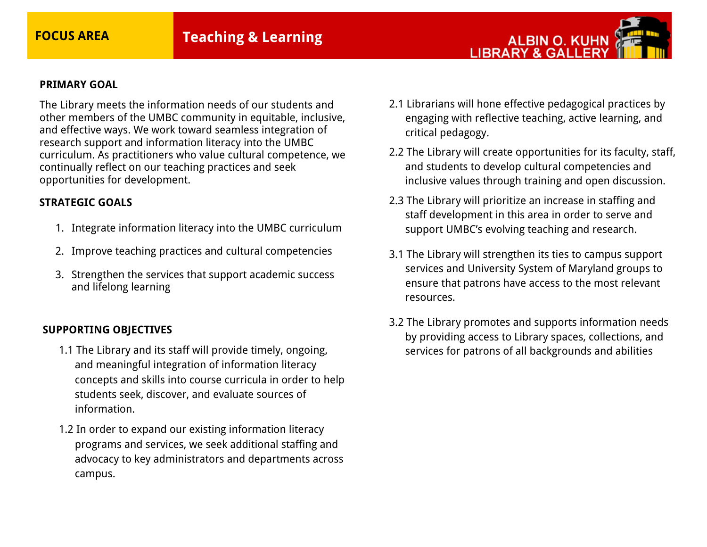# **FOCUS AREA Teaching & Learning**



#### **PRIMARY GOAL**

The Library meets the information needs of our students and other members of the UMBC community in equitable, inclusive, and effective ways. We work toward seamless integration of research support and information literacy into the UMBC curriculum. As practitioners who value cultural competence, we continually reflect on our teaching practices and seek opportunities for development.

#### **STRATEGIC GOALS**

- 1. Integrate information literacy into the UMBC curriculum
- 2. Improve teaching practices and cultural competencies
- 3. Strengthen the services that support academic success and lifelong learning

- 1.1 The Library and its staff will provide timely, ongoing, and meaningful integration of information literacy concepts and skills into course curricula in order to help students seek, discover, and evaluate sources of information.
- 1.2 In order to expand our existing information literacy programs and services, we seek additional staffing and advocacy to key administrators and departments across campus.
- 2.1 Librarians will hone effective pedagogical practices by engaging with reflective teaching, active learning, and critical pedagogy.
- 2.2 The Library will create opportunities for its faculty, staff, and students to develop cultural competencies and inclusive values through training and open discussion.
- 2.3 The Library will prioritize an increase in staffing and staff development in this area in order to serve and support UMBC's evolving teaching and research.
- 3.1 The Library will strengthen its ties to campus support services and University System of Maryland groups to ensure that patrons have access to the most relevant resources.
- 3.2 The Library promotes and supports information needs by providing access to Library spaces, collections, and services for patrons of all backgrounds and abilities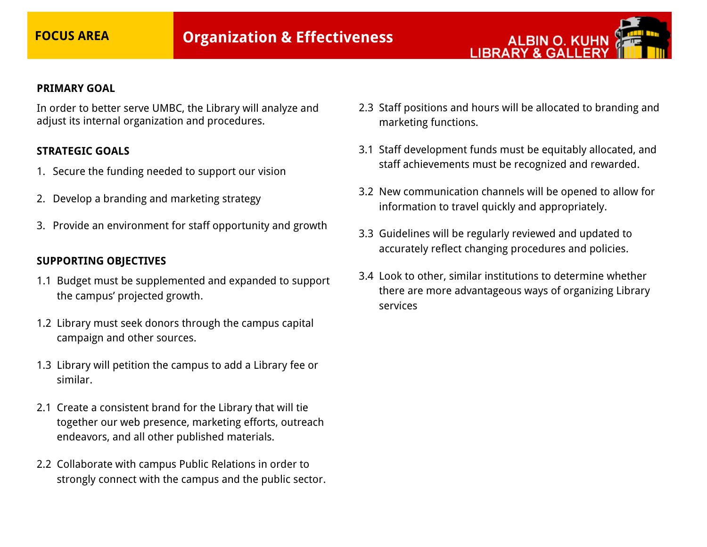

#### **PRIMARY GOAL**

In order to better serve UMBC, the Library will analyze and adjust its internal organization and procedures.

#### **STRATEGIC GOALS**

- 1. Secure the funding needed to support our vision
- 2. Develop a branding and marketing strategy
- 3. Provide an environment for staff opportunity and growth

- 1.1 Budget must be supplemented and expanded to support the campus' projected growth.
- 1.2 Library must seek donors through the campus capital campaign and other sources.
- 1.3 Library will petition the campus to add a Library fee or similar.
- 2.1 Create a consistent brand for the Library that will tie together our web presence, marketing efforts, outreach endeavors, and all other published materials.
- 2.2 Collaborate with campus Public Relations in order to strongly connect with the campus and the public sector.
- 2.3 Staff positions and hours will be allocated to branding and marketing functions.
- 3.1 Staff development funds must be equitably allocated, and staff achievements must be recognized and rewarded.
- 3.2 New communication channels will be opened to allow for information to travel quickly and appropriately.
- 3.3 Guidelines will be regularly reviewed and updated to accurately reflect changing procedures and policies.
- 3.4 Look to other, similar institutions to determine whether there are more advantageous ways of organizing Library services